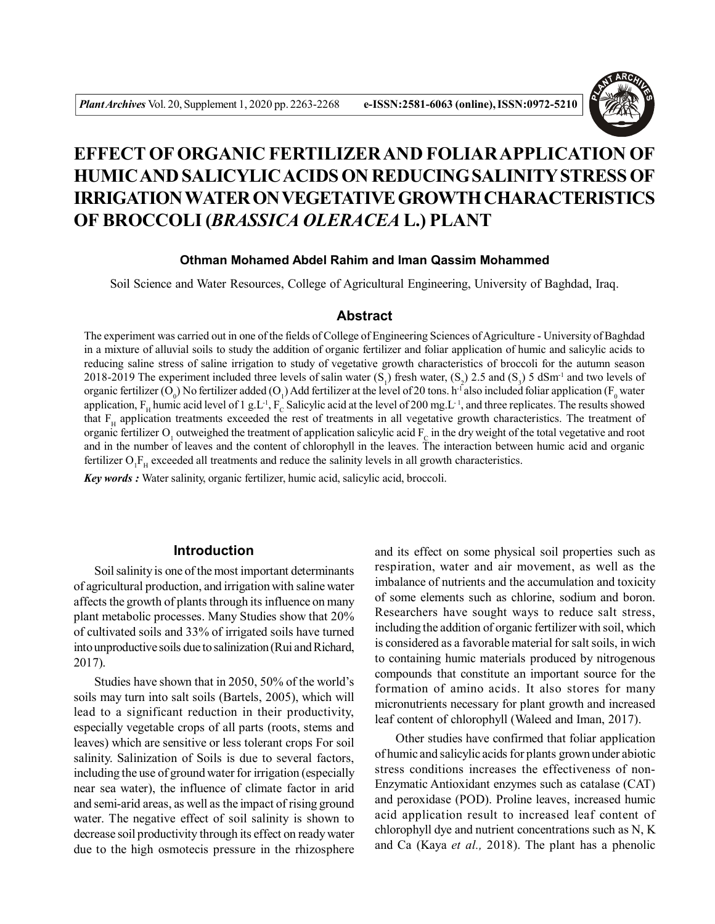

# **EFFECT OF ORGANIC FERTILIZER AND FOLIAR APPLICATION OF HUMIC AND SALICYLIC ACIDS ON REDUCING SALINITY STRESS OF IRRIGATION WATER ON VEGETATIVE GROWTH CHARACTERISTICS OF BROCCOLI (***BRASSICA OLERACEA* **L.) PLANT**

## **Othman Mohamed Abdel Rahim and Iman Qassim Mohammed**

Soil Science and Water Resources, College of Agricultural Engineering, University of Baghdad, Iraq.

#### **Abstract**

The experiment was carried out in one of the fields of College of Engineering Sciences of Agriculture - University of Baghdad in a mixture of alluvial soils to study the addition of organic fertilizer and foliar application of humic and salicylic acids to reducing saline stress of saline irrigation to study of vegetative growth characteristics of broccoli for the autumn season 2018-2019 The experiment included three levels of salin water  $(S_1)$  fresh water,  $(S_2)$  2.5 and  $(S_3)$  5 dSm<sup>-1</sup> and two levels of organic fertilizer (O<sub>0</sub>) No fertilizer added (O<sub>1</sub>) Add fertilizer at the level of 20 tons. h<sup>-1</sup> also included foliar application (F<sub>0</sub> water application,  $F_H$  humic acid level of 1 g.L<sup>-1</sup>,  $F_C$  Salicylic acid at the level of 200 mg.L<sup>-1</sup>, and three replicates. The results showed that  $F_H$  application treatments exceeded the rest of treatments in all vegetative growth characteristics. The treatment of organic fertilizer  $O_1$  outweighed the treatment of application salicylic acid  $F_C$  in the dry weight of the total vegetative and root and in the number of leaves and the content of chlorophyll in the leaves. The interaction between humic acid and organic fertilizer  $O_1F_H$  exceeded all treatments and reduce the salinity levels in all growth characteristics.

*Key words :* Water salinity, organic fertilizer, humic acid, salicylic acid, broccoli.

## **Introduction**

Soil salinity is one of the most important determinants of agricultural production, and irrigation with saline water affects the growth of plants through its influence on many plant metabolic processes. Many Studies show that 20% of cultivated soils and 33% of irrigated soils have turned into unproductive soils due to salinization (Rui and Richard, 2017).

Studies have shown that in 2050, 50% of the world's soils may turn into salt soils (Bartels, 2005), which will lead to a significant reduction in their productivity, especially vegetable crops of all parts (roots, stems and leaves) which are sensitive or less tolerant crops For soil salinity. Salinization of Soils is due to several factors, including the use of ground water for irrigation (especially near sea water), the influence of climate factor in arid and semi-arid areas, as well as the impact of rising ground water. The negative effect of soil salinity is shown to decrease soil productivity through its effect on ready water due to the high osmotecis pressure in the rhizosphere and its effect on some physical soil properties such as respiration, water and air movement, as well as the imbalance of nutrients and the accumulation and toxicity of some elements such as chlorine, sodium and boron. Researchers have sought ways to reduce salt stress, including the addition of organic fertilizer with soil, which is considered as a favorable material for salt soils, in wich to containing humic materials produced by nitrogenous compounds that constitute an important source for the formation of amino acids. It also stores for many micronutrients necessary for plant growth and increased leaf content of chlorophyll (Waleed and Iman, 2017).

Other studies have confirmed that foliar application of humic and salicylic acids for plants grown under abiotic stress conditions increases the effectiveness of non-Enzymatic Antioxidant enzymes such as catalase (CAT) and peroxidase (POD). Proline leaves, increased humic acid application result to increased leaf content of chlorophyll dye and nutrient concentrations such as N, K and Ca (Kaya *et al.,* 2018). The plant has a phenolic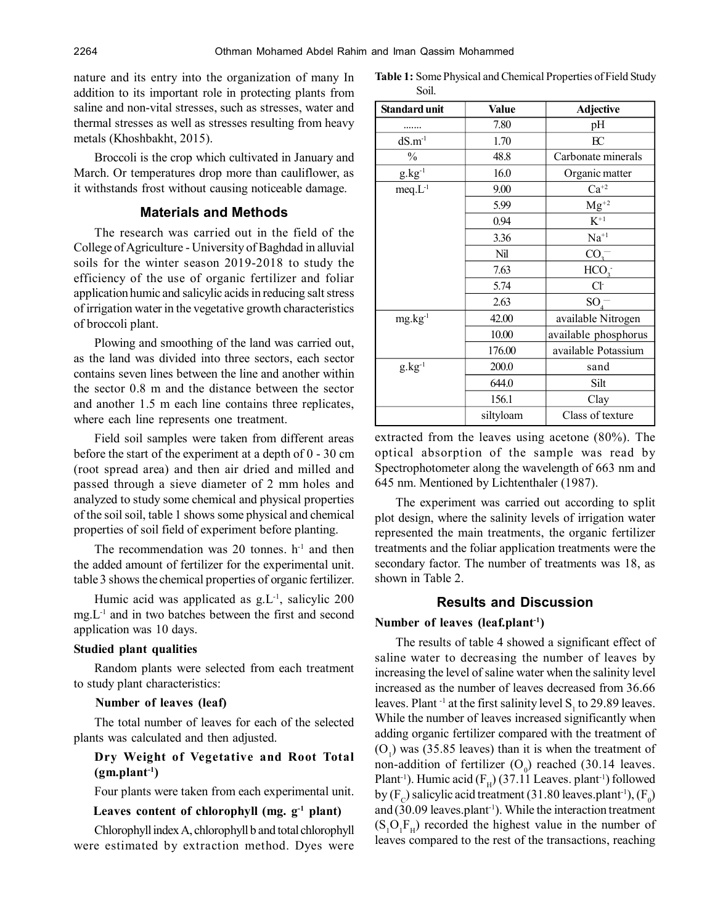nature and its entry into the organization of many In addition to its important role in protecting plants from saline and non-vital stresses, such as stresses, water and thermal stresses as well as stresses resulting from heavy metals (Khoshbakht, 2015).

Broccoli is the crop which cultivated in January and March. Or temperatures drop more than cauliflower, as it withstands frost without causing noticeable damage.

## **Materials and Methods**

The research was carried out in the field of the College of Agriculture - University of Baghdad in alluvial soils for the winter season 2019-2018 to study the efficiency of the use of organic fertilizer and foliar application humic and salicylic acids in reducing salt stress of irrigation water in the vegetative growth characteristics of broccoli plant.

Plowing and smoothing of the land was carried out, as the land was divided into three sectors, each sector contains seven lines between the line and another within the sector 0.8 m and the distance between the sector and another 1.5 m each line contains three replicates, where each line represents one treatment.

Field soil samples were taken from different areas before the start of the experiment at a depth of 0 - 30 cm (root spread area) and then air dried and milled and passed through a sieve diameter of 2 mm holes and analyzed to study some chemical and physical properties of the soil soil, table 1 shows some physical and chemical properties of soil field of experiment before planting.

The recommendation was 20 tonnes.  $h<sup>-1</sup>$  and then the added amount of fertilizer for the experimental unit. table 3 shows the chemical properties of organic fertilizer.

Humic acid was applicated as  $g<sub>L</sub>$ <sup>1</sup>, salicylic 200 mg.L-1 and in two batches between the first and second application was 10 days.

#### **Studied plant qualities**

Random plants were selected from each treatment to study plant characteristics:

#### **Number of leaves (leaf)**

The total number of leaves for each of the selected plants was calculated and then adjusted.

## **Dry Weight of Vegetative and Root Total (gm.plant-1)**

Four plants were taken from each experimental unit.

## **Leaves content of chlorophyll (mg. g-1 plant)**

Chlorophyll index A, chlorophyll b and total chlorophyll were estimated by extraction method. Dyes were

| Table 1: Some Physical and Chemical Properties of Field Study |
|---------------------------------------------------------------|
| Soil.                                                         |

| Standard unit   | Value     | <b>Adjective</b>     |
|-----------------|-----------|----------------------|
|                 | 7.80      | pH                   |
| $dS.m^{-1}$     | 1.70      | EC                   |
| $\frac{0}{0}$   | 48.8      | Carbonate minerals   |
| $g.kg^{-1}$     | 16.0      | Organic matter       |
| $meq.L^{-1}$    | 9.00      | $Ca^{+2}$            |
|                 | 5.99      | $Mg^{+2}$            |
|                 | 0.94      | $K^{+1}$             |
|                 | 3.36      | $Na^{+1}$            |
|                 | Nil       | CO <sub>3</sub>      |
|                 | 7.63      | HCO <sub>3</sub>     |
|                 | 5.74      | $Cl-$                |
|                 | 2.63      | $SO_4^-$             |
| $mg \, kg^{-1}$ | 42.00     | available Nitrogen   |
|                 | 10.00     | available phosphorus |
|                 | 176.00    | available Potassium  |
| $g.kg^{-1}$     | 200.0     | sand                 |
|                 | 644.0     | Silt                 |
|                 | 156.1     | Clay                 |
|                 | siltyloam | Class of texture     |

extracted from the leaves using acetone (80%). The optical absorption of the sample was read by Spectrophotometer along the wavelength of 663 nm and 645 nm. Mentioned by Lichtenthaler (1987).

The experiment was carried out according to split plot design, where the salinity levels of irrigation water represented the main treatments, the organic fertilizer treatments and the foliar application treatments were the secondary factor. The number of treatments was 18, as shown in Table 2.

## **Results and Discussion**

#### **Number of leaves (leaf.plant-1)**

The results of table 4 showed a significant effect of saline water to decreasing the number of leaves by increasing the level of saline water when the salinity level increased as the number of leaves decreased from 36.66 leaves. Plant<sup>-1</sup> at the first salinity level  $S_1$  to 29.89 leaves. While the number of leaves increased significantly when adding organic fertilizer compared with the treatment of  $(O<sub>1</sub>)$  was (35.85 leaves) than it is when the treatment of non-addition of fertilizer  $(O_0)$  reached (30.14 leaves. Plant<sup>-1</sup>). Humic acid ( $F_H$ ) (37.11 Leaves. plant<sup>-1</sup>) followed by (F<sub>c</sub>) salicylic acid treatment (31.80 leaves.plant<sup>-1</sup>), (F<sub>0</sub>) and  $(30.09 \text{ leaves.} \text{plant}^{-1})$ . While the interaction treatment  $(S_1O_1F_H)$  recorded the highest value in the number of leaves compared to the rest of the transactions, reaching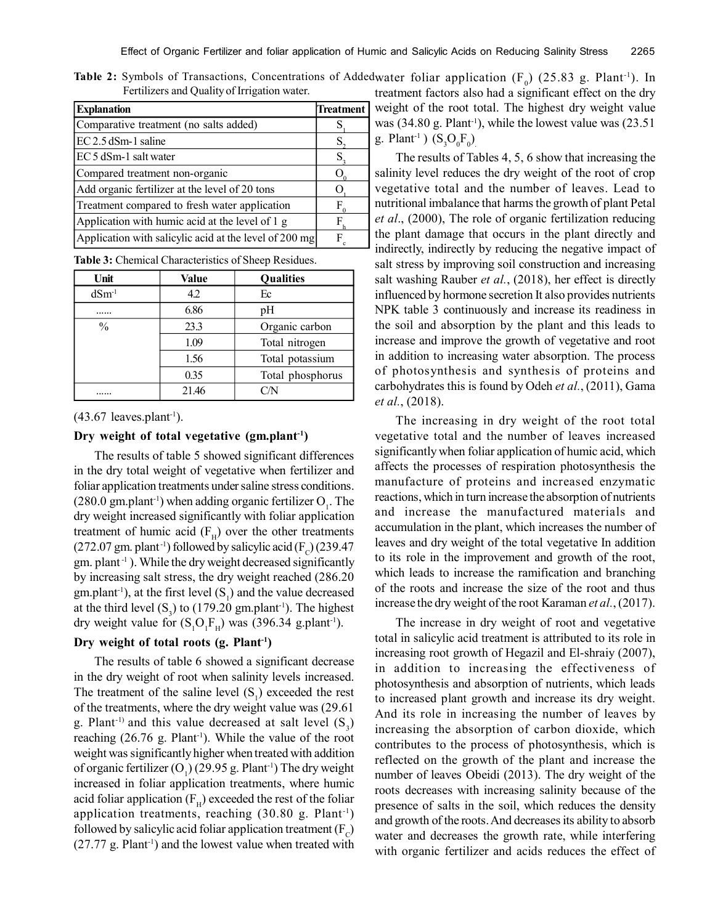**Table 2:** Symbols of Transactions, Concentrations of Addedwater foliar application  $(F_0)$  (25.83 g. Plant<sup>-1</sup>). In Fertilizers and Quality of Irrigation water.

| <b>Explanation</b>                                     | <b>Treatment</b> |
|--------------------------------------------------------|------------------|
| Comparative treatment (no salts added)                 |                  |
| EC 2.5 dSm-1 saline                                    |                  |
| EC 5 dSm-1 salt water                                  |                  |
| Compared treatment non-organic                         |                  |
| Add organic fertilizer at the level of 20 tons         |                  |
| Treatment compared to fresh water application          | н                |
| Application with humic acid at the level of 1 g        |                  |
| Application with salicylic acid at the level of 200 mg |                  |

**Table 3:** Chemical Characteristics of Sheep Residues.

| Unit          | Value | Qualities        |
|---------------|-------|------------------|
| $dSm^{-1}$    | 4.2   | Ec               |
|               | 6.86  | pH               |
| $\frac{0}{0}$ | 23.3  | Organic carbon   |
|               | 1.09  | Total nitrogen   |
|               | 1.56  | Total potassium  |
|               | 0.35  | Total phosphorus |
|               | 21.46 | M/N              |

 $(43.67$  leaves.plant<sup>-1</sup>).

## **Dry weight of total vegetative (gm.plant-1)**

The results of table 5 showed significant differences in the dry total weight of vegetative when fertilizer and foliar application treatments under saline stress conditions.  $(280.0 \text{ gm.} \text{plant}^{\text{-1}})$  when adding organic fertilizer  $O_1$ . The dry weight increased significantly with foliar application treatment of humic acid  $(F_H)$  over the other treatments (272.07 gm. plant<sup>-1</sup>) followed by salicylic acid ( $F_c$ ) (239.47  $gm.$  plant<sup>-1</sup>). While the dry weight decreased significantly by increasing salt stress, the dry weight reached (286.20  $gm.path^{-1}$ ), at the first level  $(S_1)$  and the value decreased at the third level  $(S_3)$  to (179.20 gm.plant<sup>-1</sup>). The highest dry weight value for  $(S_1O_1F_H)$  was (396.34 g.plant<sup>-1</sup>).

#### **Dry weight of total roots (g. Plant-1)**

The results of table 6 showed a significant decrease in the dry weight of root when salinity levels increased. The treatment of the saline level  $(S_1)$  exceeded the rest of the treatments, where the dry weight value was (29.61 g. Plant<sup>-1)</sup> and this value decreased at salt level  $(S_3)$ reaching  $(26.76 \text{ g. Plant}^{-1})$ . While the value of the root weight was significantly higher when treated with addition of organic fertilizer  $(O_1)(29.95 \text{ g. Plant}^1)$  The dry weight increased in foliar application treatments, where humic acid foliar application ( $F_H$ ) exceeded the rest of the foliar application treatments, reaching (30.80 g. Plant-1) followed by salicylic acid foliar application treatment (F<sub>c</sub>)  $(27.77 \text{ g. Plant}^1)$  and the lowest value when treated with treatment factors also had a significant effect on the dry weight of the root total. The highest dry weight value was  $(34.80 \text{ g}$ . Plant<sup>-1</sup>), while the lowest value was  $(23.51)$ g. Plant<sup>-1</sup>)  $(S_3O_0F_0)$ 

The results of Tables 4, 5, 6 show that increasing the salinity level reduces the dry weight of the root of crop vegetative total and the number of leaves. Lead to nutritional imbalance that harms the growth of plant Petal *et al*., (2000), The role of organic fertilization reducing the plant damage that occurs in the plant directly and indirectly, indirectly by reducing the negative impact of salt stress by improving soil construction and increasing salt washing Rauber *et al.*, (2018), her effect is directly influenced by hormone secretion It also provides nutrients NPK table 3 continuously and increase its readiness in the soil and absorption by the plant and this leads to increase and improve the growth of vegetative and root in addition to increasing water absorption. The process of photosynthesis and synthesis of proteins and carbohydrates this is found by Odeh *et al.*, (2011), Gama *et al.*, (2018).

The increasing in dry weight of the root total vegetative total and the number of leaves increased significantly when foliar application of humic acid, which affects the processes of respiration photosynthesis the manufacture of proteins and increased enzymatic reactions, which in turn increase the absorption of nutrients and increase the manufactured materials and accumulation in the plant, which increases the number of leaves and dry weight of the total vegetative In addition to its role in the improvement and growth of the root, which leads to increase the ramification and branching of the roots and increase the size of the root and thus increase the dry weight of the root Karaman *et al.*, (2017).

The increase in dry weight of root and vegetative total in salicylic acid treatment is attributed to its role in increasing root growth of Hegazil and El-shraiy (2007), in addition to increasing the effectiveness of photosynthesis and absorption of nutrients, which leads to increased plant growth and increase its dry weight. And its role in increasing the number of leaves by increasing the absorption of carbon dioxide, which contributes to the process of photosynthesis, which is reflected on the growth of the plant and increase the number of leaves Obeidi (2013). The dry weight of the roots decreases with increasing salinity because of the presence of salts in the soil, which reduces the density and growth of the roots. And decreases its ability to absorb water and decreases the growth rate, while interfering with organic fertilizer and acids reduces the effect of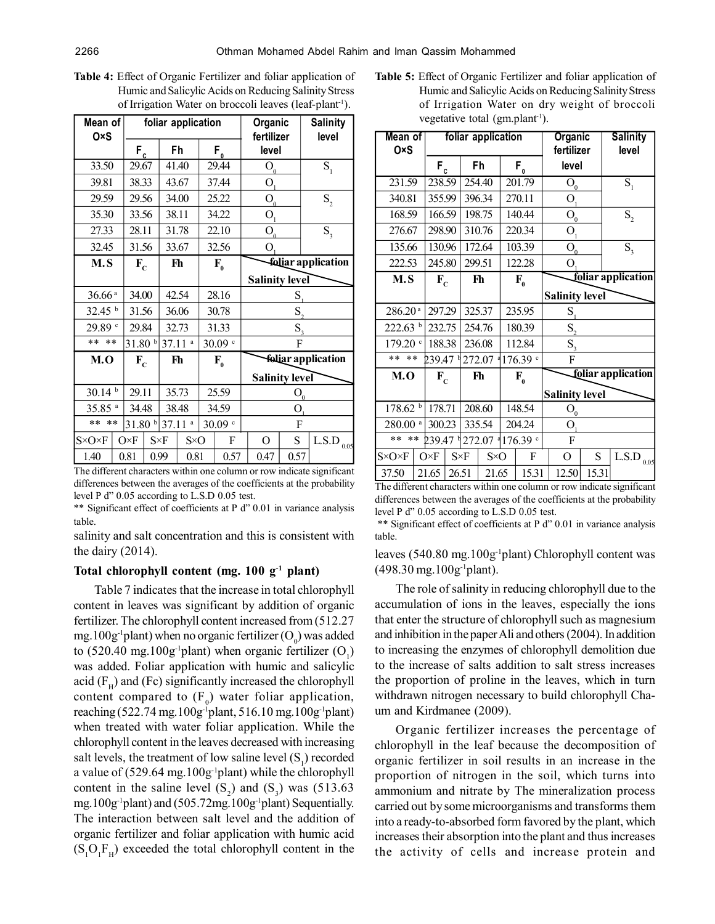| I Ramic and Banc ync Acids on Reddelig Bannity Bu ess<br>of Irrigation Water on broccoli leaves (leaf-plant <sup>-1</sup> ). |                    |                    |         |                                                  |                           |  |  |  |  |  |
|------------------------------------------------------------------------------------------------------------------------------|--------------------|--------------------|---------|--------------------------------------------------|---------------------------|--|--|--|--|--|
| Mean of<br>0×S                                                                                                               |                    | foliar application |         | Organic<br>fertilizer                            | <b>Salinity</b><br>level  |  |  |  |  |  |
|                                                                                                                              | $F_c$              | Fh                 | $F_{0}$ | level                                            |                           |  |  |  |  |  |
| 33.50                                                                                                                        | 29.67              | 41.40              | 29.44   | $\bar{\mathcal{O}}_{\underline{0}}$              | S <sub>1</sub>            |  |  |  |  |  |
| 39.81                                                                                                                        | 38.33              | 43.67              | 37.44   | O <sub>1</sub>                                   |                           |  |  |  |  |  |
| 29.59                                                                                                                        | 29.56              | 34.00              | 25.22   | O <sub>0</sub>                                   | $S_{2}$                   |  |  |  |  |  |
| 35.30                                                                                                                        | 33.56              | 38.11              | 34.22   | $\mathbf{O}_\mathrm{1}$                          |                           |  |  |  |  |  |
| 27.33                                                                                                                        | 28.11              | 31.78              | 22.10   | $\mathcal{O}_\mathfrak{g}$                       | $S_{\rm a}$               |  |  |  |  |  |
| 32.45                                                                                                                        | 31.56              | 33.67              | 32.56   | O.                                               |                           |  |  |  |  |  |
| M.S                                                                                                                          | $F_c$              | Fh                 | $F_{0}$ | foliar application                               |                           |  |  |  |  |  |
|                                                                                                                              |                    |                    |         | <b>Salinity level</b>                            |                           |  |  |  |  |  |
|                                                                                                                              |                    |                    |         | S,                                               |                           |  |  |  |  |  |
| 36.66a                                                                                                                       | 34.00              | 42.54              | 28.16   |                                                  |                           |  |  |  |  |  |
| 32.45 <sup>b</sup>                                                                                                           | 31.56              | 36.06              | 30.78   | S,                                               |                           |  |  |  |  |  |
| 29.89                                                                                                                        | 29.84              | 32.73              | 31.33   | $S_{\rm a}$                                      |                           |  |  |  |  |  |
| $* *$<br>$* *$                                                                                                               | 31.80 <sup>b</sup> | 37.11 <sup>a</sup> | 30.09 c | F                                                |                           |  |  |  |  |  |
| M.O                                                                                                                          | $F_C$              | Fh                 | $F_{0}$ |                                                  | <b>foliar</b> application |  |  |  |  |  |
|                                                                                                                              |                    |                    |         | <b>Salinity level</b>                            |                           |  |  |  |  |  |
| 30.14h                                                                                                                       | 29.11              | 35.73              | 25.59   |                                                  |                           |  |  |  |  |  |
| $35.85$ <sup>a</sup>                                                                                                         | 34.48              | 38.48              | 34.59   | $\mathrm{O}_{{\underline{0}}}$<br>$\overline{O}$ |                           |  |  |  |  |  |

**Table 4:** Effect of Organic Fertilizer and foliar application of Humic and Salicylic Acids on Reducing Salinity Stress

The different characters within one column or row indicate significant differences between the averages of the coefficients at the probability level P d" 0.05 according to L.S.D 0.05 test.

 $S \times O \times F$   $O \times F$   $S \times F$   $S \times O$   $F$   $O$   $S$   $S$  L.S.D  $_{0.05}$ 

1.40 | 0.81 | 0.99 | 0.81 | 0.57 | 0.47 | 0.57

\*\* Significant effect of coefficients at P d" 0.01 in variance analysis table.

salinity and salt concentration and this is consistent with the dairy (2014).

#### **Total chlorophyll content (mg. 100 g-1 plant)**

Table 7 indicates that the increase in total chlorophyll content in leaves was significant by addition of organic fertilizer. The chlorophyll content increased from (512.27 mg.100g<sup>-1</sup>plant) when no organic fertilizer (O<sub>0</sub>) was added to (520.40 mg.100g<sup>-1</sup>plant) when organic fertilizer  $(O_1)$ was added. Foliar application with humic and salicylic acid ( $F<sub>H</sub>$ ) and (Fc) significantly increased the chlorophyll content compared to  $(F_0)$  water foliar application, reaching (522.74 mg.100g<sup>-1</sup>plant, 516.10 mg.100g<sup>-1</sup>plant) when treated with water foliar application. While the chlorophyll content in the leaves decreased with increasing salt levels, the treatment of low saline level  $(S_1)$  recorded a value of  $(529.64 \text{ mg}.100 \text{g}^{-1}$ plant) while the chlorophyll content in the saline level  $(S_2)$  and  $(S_3)$  was (513.63) mg.100g-1plant) and (505.72mg.100g-1plant) Sequentially. The interaction between salt level and the addition of organic fertilizer and foliar application with humic acid  $(S_1O_1F_H)$  exceeded the total chlorophyll content in the

**Table 5:** Effect of Organic Fertilizer and foliar application of Humic and Salicylic Acids on Reducing Salinity Stress of Irrigation Water on dry weight of broccoli vegetative total  $(gm.plant^{-1})$ .

| Mean of               |                  |                | foliar application |              |                |  |                    |                            | Organic                                     |       | <b>Salinity</b>    |    |  |  |                |  |                    |  |        |  |                          |             |                |  |   |  |   |   |               |
|-----------------------|------------------|----------------|--------------------|--------------|----------------|--|--------------------|----------------------------|---------------------------------------------|-------|--------------------|----|--|--|----------------|--|--------------------|--|--------|--|--------------------------|-------------|----------------|--|---|--|---|---|---------------|
| 0×S                   |                  | $F_c$          |                    |              | Fh             |  | $F_{0}$            |                            | fertilizer<br>level                         |       | level              |    |  |  |                |  |                    |  |        |  |                          |             |                |  |   |  |   |   |               |
| 231.59                |                  | 238.59         |                    |              |                |  |                    |                            |                                             |       |                    |    |  |  |                |  | 254.40             |  | 201.79 |  | $\mathcal{O}_\mathrm{0}$ |             | S <sub>1</sub> |  |   |  |   |   |               |
| 340.81                | 355.99           |                |                    |              | 396.34         |  | 270.11             |                            | O <sub>1</sub>                              |       |                    |    |  |  |                |  |                    |  |        |  |                          |             |                |  |   |  |   |   |               |
|                       | 166.59<br>168.59 |                |                    |              | 198.75         |  | 140.44             |                            | $\mathcal{O}_{\underline{0}}$               |       | $S_{2}$            |    |  |  |                |  |                    |  |        |  |                          |             |                |  |   |  |   |   |               |
| 276.67                |                  | 298.90         |                    |              | 310.76         |  | 220.34             |                            | O <sub>1</sub>                              |       |                    |    |  |  |                |  |                    |  |        |  |                          |             |                |  |   |  |   |   |               |
| 135.66                |                  | 130.96         |                    |              | 172.64         |  | 103.39             |                            | $\bar{\textbf{O}}_{\!\scriptscriptstyle 0}$ |       | $S_{\rm a}$        |    |  |  |                |  |                    |  |        |  |                          |             |                |  |   |  |   |   |               |
| 222.53                |                  | 245.80         |                    |              | 299.51         |  | 122.28             |                            | $\mathbf{O}$                                |       |                    |    |  |  |                |  |                    |  |        |  |                          |             |                |  |   |  |   |   |               |
| M.S                   |                  | $F_C$          |                    |              |                |  |                    |                            |                                             |       |                    | Fh |  |  | $\mathbf{F}_0$ |  | foliar application |  |        |  |                          |             |                |  |   |  |   |   |               |
|                       |                  |                |                    |              |                |  |                    |                            | <b>Salinity level</b>                       |       |                    |    |  |  |                |  |                    |  |        |  |                          |             |                |  |   |  |   |   |               |
| 286.20a               |                  | 297.29         |                    | 325.37       |                |  | 235.95             | $S_{\scriptscriptstyle 1}$ |                                             |       |                    |    |  |  |                |  |                    |  |        |  |                          |             |                |  |   |  |   |   |               |
| 222.63 <sup>b</sup>   |                  | 232.75         |                    | 254.76       |                |  | 180.39             |                            | S <sub>2</sub>                              |       |                    |    |  |  |                |  |                    |  |        |  |                          |             |                |  |   |  |   |   |               |
| 179.20                |                  | 188.38         |                    | 236.08       |                |  | 112.84             | S <sub>3</sub>             |                                             |       |                    |    |  |  |                |  |                    |  |        |  |                          |             |                |  |   |  |   |   |               |
| $* *$<br>$* *$        |                  | 239.47         |                    |              | 272.07         |  | 176.39 c           |                            | F                                           |       |                    |    |  |  |                |  |                    |  |        |  |                          |             |                |  |   |  |   |   |               |
| M.O                   |                  | $F_c$          |                    |              | F <sub>h</sub> |  | $F_{0}$            |                            |                                             |       | foliar application |    |  |  |                |  |                    |  |        |  |                          |             |                |  |   |  |   |   |               |
|                       |                  |                |                    |              |                |  |                    |                            | <b>Salinity level</b>                       |       |                    |    |  |  |                |  |                    |  |        |  |                          |             |                |  |   |  |   |   |               |
| 178.62 b              |                  | 178.71         |                    | 208.60       |                |  | 148.54             |                            | ${\cal O}_0$                                |       |                    |    |  |  |                |  |                    |  |        |  |                          |             |                |  |   |  |   |   |               |
| $280.00$ <sup>a</sup> |                  | 300.23         |                    |              | 335.54         |  | 204.24             |                            | O <sub>1</sub>                              |       |                    |    |  |  |                |  |                    |  |        |  |                          |             |                |  |   |  |   |   |               |
| $* *$<br>$* *$        |                  | 239.47 1272.07 |                    |              |                |  | $176.39$ $\degree$ |                            | F                                           |       |                    |    |  |  |                |  |                    |  |        |  |                          |             |                |  |   |  |   |   |               |
| $S \times O \times F$ |                  |                |                    | $O \times F$ |                |  |                    |                            |                                             |       |                    |    |  |  |                |  |                    |  |        |  |                          | $S\times F$ | $S \times O$   |  | F |  | O | S | L.S.D<br>0.05 |
| 37.50                 | 21.65            |                | 26.51              |              | 21.65          |  | 15.31              |                            | 12.50                                       | 15.31 |                    |    |  |  |                |  |                    |  |        |  |                          |             |                |  |   |  |   |   |               |

The different characters within one column or row indicate significant differences between the averages of the coefficients at the probability level P d" 0.05 according to L.S.D 0.05 test.

 \*\* Significant effect of coefficients at P d" 0.01 in variance analysis table.

leaves (540.80 mg.100g-1plant) Chlorophyll content was (498.30 mg.100g-1plant).

The role of salinity in reducing chlorophyll due to the accumulation of ions in the leaves, especially the ions that enter the structure of chlorophyll such as magnesium and inhibition in the paper Ali and others (2004). In addition to increasing the enzymes of chlorophyll demolition due to the increase of salts addition to salt stress increases the proportion of proline in the leaves, which in turn withdrawn nitrogen necessary to build chlorophyll Chaum and Kirdmanee (2009).

Organic fertilizer increases the percentage of chlorophyll in the leaf because the decomposition of organic fertilizer in soil results in an increase in the proportion of nitrogen in the soil, which turns into ammonium and nitrate by The mineralization process carried out by some microorganisms and transforms them into a ready-to-absorbed form favored by the plant, which increases their absorption into the plant and thus increases the activity of cells and increase protein and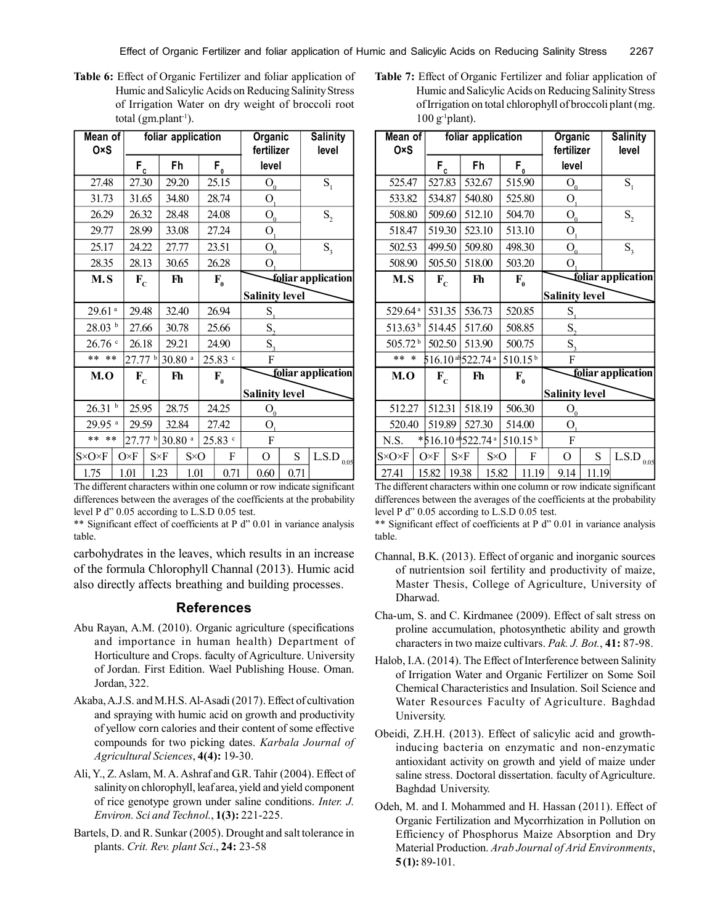**Table 6:** Effect of Organic Fertilizer and foliar application of Humic and Salicylic Acids on Reducing Salinity Stress of Irrigation Water on dry weight of broccoli root total  $(gm.plant^{-1})$ .

| Mean of<br>0×S        |              |           |         |                    | foliar application   |  |                   | Organic<br>fertilizer                     |       | <b>Salinity</b><br>level |  |  |       |             |              |         |   |   |   |                 |
|-----------------------|--------------|-----------|---------|--------------------|----------------------|--|-------------------|-------------------------------------------|-------|--------------------------|--|--|-------|-------------|--------------|---------|---|---|---|-----------------|
|                       |              | $F_c$     |         |                    | Fh                   |  | $F_{0}$           | level                                     |       |                          |  |  |       |             |              |         |   |   |   |                 |
| 27.48                 |              | 27.30     |         |                    | 29.20                |  | 25.15             | $\mathcal{O}_\mathfrak{g}$                |       | $S_{1}$                  |  |  |       |             |              |         |   |   |   |                 |
|                       | 31.73        |           | 31.65   |                    | 34.80                |  | 28.74             | $\mathcal{O}_{\!\scriptscriptstyle\perp}$ |       |                          |  |  |       |             |              |         |   |   |   |                 |
| 26.29                 |              | 26.32     |         |                    | 28.48                |  | 24.08             | O <sub>0</sub>                            |       | $S_{2}$                  |  |  |       |             |              |         |   |   |   |                 |
| 29.77                 |              | 28.99     |         |                    | 33.08                |  | 27.24             | $O_{l}$                                   |       |                          |  |  |       |             |              |         |   |   |   |                 |
| 25.17                 |              | 24.22     |         |                    | 27.77                |  | 23.51             | $O_a$                                     |       | $S_{\rm a}$              |  |  |       |             |              |         |   |   |   |                 |
| 28.35                 |              | 28.13     |         |                    | 30.65                |  | 26.28             | O <sub>1</sub>                            |       |                          |  |  |       |             |              |         |   |   |   |                 |
|                       | M.S<br>$F_c$ |           |         |                    | Fh                   |  | $F_{0}$           |                                           |       | foliar application       |  |  |       |             |              |         |   |   |   |                 |
|                       |              |           |         |                    |                      |  |                   | <b>Salinity level</b>                     |       |                          |  |  |       |             |              |         |   |   |   |                 |
| $29.61$ <sup>a</sup>  |              | 29.48     |         |                    |                      |  |                   |                                           |       |                          |  |  | 32.40 |             | 26.94        | $S_{1}$ |   |   |   |                 |
| 28.03~ <sup>b</sup>   |              | 27.66     |         |                    | 30.78                |  | 25.66             | S,                                        |       |                          |  |  |       |             |              |         |   |   |   |                 |
| 26.76                 |              | 26.18     |         | 29.21              |                      |  | 24.90             | S <sub>3</sub>                            |       |                          |  |  |       |             |              |         |   |   |   |                 |
| $* *$<br>$* *$        |              | $27.77$ b |         | $30.80$ $^{\rm a}$ |                      |  | $25.83$ $\degree$ | F                                         |       |                          |  |  |       |             |              |         |   |   |   |                 |
| M.O                   |              |           | $F_c$   |                    | Fh                   |  | $F_{0}$           |                                           |       | foliar application       |  |  |       |             |              |         |   |   |   |                 |
|                       |              |           |         |                    |                      |  |                   | <b>Salinity level</b>                     |       |                          |  |  |       |             |              |         |   |   |   |                 |
| 26.31                 | b            |           | 25.95   |                    | 28.75                |  |                   |                                           | 24.25 | ${\cal O}_\underline{0}$ |  |  |       |             |              |         |   |   |   |                 |
| 29.95 <sup>a</sup>    |              | 29.59     |         | 32.84              |                      |  | 27.42             | О,                                        |       |                          |  |  |       |             |              |         |   |   |   |                 |
|                       | ** **        |           | 27.77 b |                    | $30.80$ <sup>a</sup> |  | 25.83 c           | F                                         |       |                          |  |  |       |             |              |         |   |   |   |                 |
| $S \times O \times F$ |              |           |         | $O \times F$       |                      |  |                   |                                           |       |                          |  |  |       | $S\times F$ | $S \times O$ |         | F | O | S | L.S.D $_{0.05}$ |
| 1.75                  |              | 1.01      |         | 1.23               | 1.01                 |  | 0.71              | 0.60                                      | 0.71  |                          |  |  |       |             |              |         |   |   |   |                 |

The different characters within one column or row indicate significant differences between the averages of the coefficients at the probability level P d" 0.05 according to L.S.D 0.05 test.

\*\* Significant effect of coefficients at P d" 0.01 in variance analysis table.

carbohydrates in the leaves, which results in an increase of the formula Chlorophyll Channal (2013). Humic acid also directly affects breathing and building processes.

### **References**

- Abu Rayan, A.M. (2010). Organic agriculture (specifications and importance in human health) Department of Horticulture and Crops. faculty of Agriculture. University of Jordan. First Edition. Wael Publishing House. Oman. Jordan, 322.
- Akaba, A.J.S. and M.H.S. Al-Asadi (2017). Effect of cultivation and spraying with humic acid on growth and productivity of yellow corn calories and their content of some effective compounds for two picking dates. *Karbala Journal of Agricultural Sciences*, **4(4):** 19-30.
- Ali, Y., Z. Aslam, M. A. Ashraf and G.R. Tahir (2004). Effect of salinity on chlorophyll, leaf area, yield and yield component of rice genotype grown under saline conditions. *Inter. J. Environ. Sci and Technol.*, **1(3):** 221-225.
- Bartels, D. and R. Sunkar (2005). Drought and salt tolerance in plants. *Crit. Rev. plant Sci*., **24:** 23-58

**Table 7:** Effect of Organic Fertilizer and foliar application of Humic and Salicylic Acids on Reducing Salinity Stress of Irrigation on total chlorophyll of broccoli plant (mg.  $100$  g<sup>-1</sup>plant).

| Mean of<br>0×S        |                   |                      |        |                             | foliar application |        |                     |         | <b>Organic</b><br>fertilizer  |       | <b>Salinity</b><br>level |
|-----------------------|-------------------|----------------------|--------|-----------------------------|--------------------|--------|---------------------|---------|-------------------------------|-------|--------------------------|
|                       |                   | $F_c$                |        | Fh                          |                    |        | $F_{0}$             |         | level                         |       |                          |
| 525.47                |                   | 527.83               |        |                             | 532.67             |        | 515.90              |         | $\mathcal{O}_\mathrm{0}$      |       | S <sub>1</sub>           |
|                       | 533.82            |                      | 534.87 |                             | 540.80             |        | 525.80              |         | O <sub>1</sub>                |       |                          |
| 508.80                |                   | 509.60               |        |                             | 512.10             |        | 504.70              |         | $\mathcal{O}_{\underline{0}}$ |       | $S_{2}$                  |
| 518.47                |                   | 519.30               |        |                             | 523.10             |        | 513.10              |         | $\mathbf{O}_1$                |       |                          |
| 502.53                |                   | 499.50               |        |                             | 509.80             |        | 498.30              |         | $\overline{O}_0$              |       | $S_{\rm a}$              |
| 508.90                |                   | 505.50               |        |                             | 518.00             |        | 503.20              |         | O <sub>1</sub>                |       |                          |
| M.S                   |                   | $F_c$                |        |                             | Fh                 |        | $F_{0}$             |         |                               |       | foliar application       |
|                       |                   |                      |        |                             |                    |        |                     |         | <b>Salinity level</b>         |       |                          |
| 529.64 <sup>a</sup>   |                   | 531.35               |        | 536.73                      |                    |        | 520.85              | $S_{1}$ |                               |       |                          |
| 513.63 <sup>b</sup>   |                   | 514.45               |        |                             | 517.60             |        | 508.85              |         | S,                            |       |                          |
| 505.72 <sup>b</sup>   |                   | 502.50               |        | 513.90                      |                    | 500.75 |                     |         | $S_{\rm a}$                   |       |                          |
| $* *$<br>$\ast$       |                   | $516.10$ ab 522.74 a |        |                             |                    |        | $510.15^{b}$        |         | F                             |       |                          |
| M.O                   |                   | $F_c$                |        |                             | Fh                 |        | $F_{0}$             |         |                               |       | foliar application       |
|                       |                   |                      |        |                             |                    |        |                     |         | <b>Salinity level</b>         |       |                          |
| 512.27                |                   | 512.31               |        |                             | 518.19             |        | 506.30              |         | $\mathcal{O}_{\underline{0}}$ |       |                          |
| 520.40                |                   | 519.89               |        |                             | 527.30             |        | 514.00              |         | O <sub>1</sub>                |       |                          |
| N.S.                  | $*516.10*522.74*$ |                      |        |                             |                    |        | 510.15 <sup>b</sup> |         | F                             |       |                          |
| $S \times O \times F$ |                   | $O\times F$          |        | $S\times F$<br>$S \times O$ |                    | F      |                     |         | O                             | S     | L.S.D<br>0.05            |
| 27.41                 | 15.82             |                      |        | 19.38                       | 15.82              |        | 11.19               |         | 9.14                          | 11.19 |                          |

The different characters within one column or row indicate significant differences between the averages of the coefficients at the probability level P d" 0.05 according to L.S.D 0.05 test.

\*\* Significant effect of coefficients at P d" 0.01 in variance analysis table.

- Channal, B.K. (2013). Effect of organic and inorganic sources of nutrientsion soil fertility and productivity of maize, Master Thesis, College of Agriculture, University of Dharwad.
- Cha-um, S. and C. Kirdmanee (2009). Effect of salt stress on proline accumulation, photosynthetic ability and growth characters in two maize cultivars. *Pak. J. Bot.*, **41:** 87-98.
- Halob, I.A. (2014). The Effect of Interference between Salinity of Irrigation Water and Organic Fertilizer on Some Soil Chemical Characteristics and Insulation. Soil Science and Water Resources Faculty of Agriculture. Baghdad University.
- Obeidi, Z.H.H. (2013). Effect of salicylic acid and growthinducing bacteria on enzymatic and non-enzymatic antioxidant activity on growth and yield of maize under saline stress. Doctoral dissertation. faculty of Agriculture. Baghdad University.
- Odeh, M. and I. Mohammed and H. Hassan (2011). Effect of Organic Fertilization and Mycorrhization in Pollution on Efficiency of Phosphorus Maize Absorption and Dry Material Production. *Arab Journal of Arid Environments*, **5 (1):** 89-101.